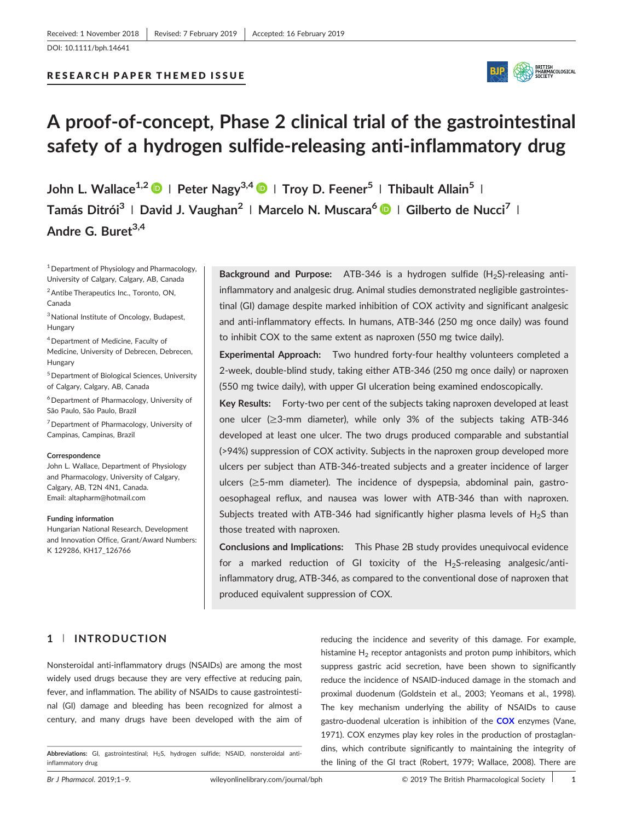## **RESEARCH PAPER THEMED ISSUE**



# **A proof‐of‐concept, Phase 2 clinical trial of the gastrointestinal safety of a hydrogen sulfide‐releasing anti‐inflammatory drug**

**John L. Wallace1,2 <sup>|</sup> Peter Nagy3,4 <sup>|</sup> Troy D. Feener5 <sup>|</sup> Thibault Allain<sup>5</sup> <sup>|</sup> Tamás Ditrói3 <sup>|</sup> David J. Vaughan2 <sup>|</sup> Marcelo N. Muscara<sup>6</sup> <sup>|</sup> Gilberto de Nucci7 <sup>|</sup> Andre G. Buret3,4**

<sup>1</sup> Department of Physiology and Pharmacology, University of Calgary, Calgary, AB, Canada

<sup>2</sup> Antibe Therapeutics Inc., Toronto, ON, Canada

3National Institute of Oncology, Budapest, Hungary

- 4Department of Medicine, Faculty of Medicine, University of Debrecen, Debrecen, Hungary
- 5Department of Biological Sciences, University of Calgary, Calgary, AB, Canada
- $6$  Department of Pharmacology, University of São Paulo, São Paulo, Brazil

<sup>7</sup> Department of Pharmacology, University of Campinas, Campinas, Brazil

#### **Correspondence**

John L. Wallace, Department of Physiology and Pharmacology, University of Calgary, Calgary, AB, T2N 4N1, Canada. Email: [altapharm@hotmail.com](mailto:altapharm@hotmail.com)

#### **Funding information**

Hungarian National Research, Development and Innovation Office, Grant/Award Numbers: K 129286, KH17 126766

**Background and Purpose:** ATB-346 is a hydrogen sulfide (H<sub>2</sub>S)-releasing antiinflammatory and analgesic drug. Animal studies demonstrated negligible gastrointestinal (GI) damage despite marked inhibition of COX activity and significant analgesic and anti‐inflammatory effects. In humans, ATB‐346 (250 mg once daily) was found to inhibit COX to the same extent as naproxen (550 mg twice daily).

**Experimental Approach:** Two hundred forty‐four healthy volunteers completed a 2‐week, double‐blind study, taking either ATB‐346 (250 mg once daily) or naproxen (550 mg twice daily), with upper GI ulceration being examined endoscopically.

Key Results: Forty-two per cent of the subjects taking naproxen developed at least one ulcer (≥3‐mm diameter), while only 3% of the subjects taking ATB‐346 developed at least one ulcer. The two drugs produced comparable and substantial (>94%) suppression of COX activity. Subjects in the naproxen group developed more ulcers per subject than ATB‐346‐treated subjects and a greater incidence of larger ulcers (≥5-mm diameter). The incidence of dyspepsia, abdominal pain, gastrooesophageal reflux, and nausea was lower with ATB‐346 than with naproxen. Subjects treated with ATB-346 had significantly higher plasma levels of  $H_2S$  than those treated with naproxen.

**Conclusions and Implications:** This Phase 2B study provides unequivocal evidence for a marked reduction of GI toxicity of the  $H_2$ S-releasing analgesic/antiinflammatory drug, ATB‐346, as compared to the conventional dose of naproxen that produced equivalent suppression of COX.

# **1** | **INTRODUCTION**

Nonsteroidal anti‐inflammatory drugs (NSAIDs) are among the most widely used drugs because they are very effective at reducing pain, fever, and inflammation. The ability of NSAIDs to cause gastrointestinal (GI) damage and bleeding has been recognized for almost a century, and many drugs have been developed with the aim of

reducing the incidence and severity of this damage. For example, histamine  $H_2$  receptor antagonists and proton pump inhibitors, which suppress gastric acid secretion, have been shown to significantly reduce the incidence of NSAID‐induced damage in the stomach and proximal duodenum (Goldstein et al., 2003; Yeomans et al., 1998). The key mechanism underlying the ability of NSAIDs to cause gastro‐duodenal ulceration is inhibition of the **[COX](http://www.guidetopharmacology.org/GRAC/FamilyDisplayForward?familyId=269)** enzymes (Vane, 1971). COX enzymes play key roles in the production of prostaglandins, which contribute significantly to maintaining the integrity of the lining of the GI tract (Robert, 1979; Wallace, 2008). There are

Abbreviations: GI, gastrointestinal; H<sub>2</sub>S, hydrogen sulfide; NSAID, nonsteroidal antiinflammatory drug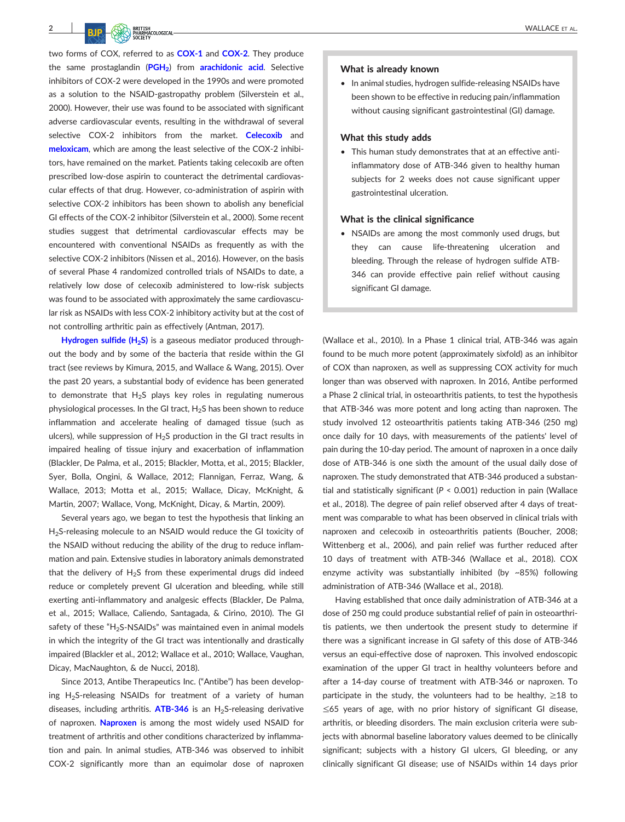2 **Decision of the CONSTRUCTION** WALLACE ET AL.

two forms of COX, referred to as **[COX](http://www.guidetopharmacology.org/GRAC/ObjectDisplayForward?objectId=1375)‐1** and **[COX](http://www.guidetopharmacology.org/GRAC/ObjectDisplayForward?objectId=1376)‐2**. They produce the same prostaglandin (**[PGH2](http://www.guidetopharmacology.org/GRAC/LigandDisplayForward?ligandId=4483)**) from **[arachidonic acid](http://www.guidetopharmacology.org/GRAC/LigandDisplayForward?ligandId=2391)**. Selective inhibitors of COX‐2 were developed in the 1990s and were promoted as a solution to the NSAID‐gastropathy problem (Silverstein et al., 2000). However, their use was found to be associated with significant adverse cardiovascular events, resulting in the withdrawal of several selective COX‐2 inhibitors from the market. **[Celecoxib](http://www.guidetopharmacology.org/GRAC/LigandDisplayForward?ligandId=2892)** and **[meloxicam](http://www.guidetopharmacology.org/GRAC/LigandDisplayForward?ligandId=7220)**, which are among the least selective of the COX‐2 inhibitors, have remained on the market. Patients taking celecoxib are often prescribed low-dose aspirin to counteract the detrimental cardiovascular effects of that drug. However, co-administration of aspirin with selective COX-2 inhibitors has been shown to abolish any beneficial GI effects of the COX‐2 inhibitor (Silverstein et al., 2000). Some recent studies suggest that detrimental cardiovascular effects may be encountered with conventional NSAIDs as frequently as with the selective COX-2 inhibitors (Nissen et al., 2016). However, on the basis of several Phase 4 randomized controlled trials of NSAIDs to date, a relatively low dose of celecoxib administered to low‐risk subjects was found to be associated with approximately the same cardiovascular risk as NSAIDs with less COX‐2 inhibitory activity but at the cost of not controlling arthritic pain as effectively (Antman, 2017).

**Hydrogen sulfide (H<sub>2</sub>S)** is a gaseous mediator produced throughout the body and by some of the bacteria that reside within the GI tract (see reviews by Kimura, 2015, and Wallace & Wang, 2015). Over the past 20 years, a substantial body of evidence has been generated to demonstrate that  $H_2S$  plays key roles in regulating numerous physiological processes. In the GI tract,  $H_2S$  has been shown to reduce inflammation and accelerate healing of damaged tissue (such as ulcers), while suppression of  $H_2S$  production in the GI tract results in impaired healing of tissue injury and exacerbation of inflammation (Blackler, De Palma, et al., 2015; Blackler, Motta, et al., 2015; Blackler, Syer, Bolla, Ongini, & Wallace, 2012; Flannigan, Ferraz, Wang, & Wallace, 2013; Motta et al., 2015; Wallace, Dicay, McKnight, & Martin, 2007; Wallace, Vong, McKnight, Dicay, & Martin, 2009).

Several years ago, we began to test the hypothesis that linking an H<sub>2</sub>S-releasing molecule to an NSAID would reduce the GI toxicity of the NSAID without reducing the ability of the drug to reduce inflammation and pain. Extensive studies in laboratory animals demonstrated that the delivery of  $H_2S$  from these experimental drugs did indeed reduce or completely prevent GI ulceration and bleeding, while still exerting anti-inflammatory and analgesic effects (Blackler, De Palma, et al., 2015; Wallace, Caliendo, Santagada, & Cirino, 2010). The GI safety of these "H<sub>2</sub>S-NSAIDs" was maintained even in animal models in which the integrity of the GI tract was intentionally and drastically impaired (Blackler et al., 2012; Wallace et al., 2010; Wallace, Vaughan, Dicay, MacNaughton, & de Nucci, 2018).

Since 2013, Antibe Therapeutics Inc. ("Antibe") has been developing  $H_2$ S-releasing NSAIDs for treatment of a variety of human diseases, including arthritis. **[ATB](http://www.guidetopharmacology.org/GRAC/LigandDisplayForward?ligandId=9534)-346** is an H<sub>2</sub>S-releasing derivative of naproxen. **[Naproxen](http://www.guidetopharmacology.org/GRAC/LigandDisplayForward?ligandId=5230)** is among the most widely used NSAID for treatment of arthritis and other conditions characterized by inflammation and pain. In animal studies, ATB‐346 was observed to inhibit COX‐2 significantly more than an equimolar dose of naproxen

#### What is already known

• In animal studies, hydrogen sulfide‐releasing NSAIDs have been shown to be effective in reducing pain/inflammation without causing significant gastrointestinal (GI) damage.

#### What this study adds

• This human study demonstrates that at an effective anti‐ inflammatory dose of ATB‐346 given to healthy human subjects for 2 weeks does not cause significant upper gastrointestinal ulceration.

#### What is the clinical significance

• NSAIDs are among the most commonly used drugs, but they can cause life‐threatening ulceration and bleeding. Through the release of hydrogen sulfide ATB‐ 346 can provide effective pain relief without causing significant GI damage.

(Wallace et al., 2010). In a Phase 1 clinical trial, ATB‐346 was again found to be much more potent (approximately sixfold) as an inhibitor of COX than naproxen, as well as suppressing COX activity for much longer than was observed with naproxen. In 2016, Antibe performed a Phase 2 clinical trial, in osteoarthritis patients, to test the hypothesis that ATB‐346 was more potent and long acting than naproxen. The study involved 12 osteoarthritis patients taking ATB‐346 (250 mg) once daily for 10 days, with measurements of the patients' level of pain during the 10-day period. The amount of naproxen in a once daily dose of ATB‐346 is one sixth the amount of the usual daily dose of naproxen. The study demonstrated that ATB‐346 produced a substantial and statistically significant (*P* < 0.001) reduction in pain (Wallace et al., 2018). The degree of pain relief observed after 4 days of treatment was comparable to what has been observed in clinical trials with naproxen and celecoxib in osteoarthritis patients (Boucher, 2008; Wittenberg et al., 2006), and pain relief was further reduced after 10 days of treatment with ATB‐346 (Wallace et al., 2018). COX enzyme activity was substantially inhibited (by ~85%) following administration of ATB‐346 (Wallace et al., 2018).

Having established that once daily administration of ATB‐346 at a dose of 250 mg could produce substantial relief of pain in osteoarthritis patients, we then undertook the present study to determine if there was a significant increase in GI safety of this dose of ATB‐346 versus an equi-effective dose of naproxen. This involved endoscopic examination of the upper GI tract in healthy volunteers before and after a 14‐day course of treatment with ATB‐346 or naproxen. To participate in the study, the volunteers had to be healthy,  $\geq$ 18 to ≤65 years of age, with no prior history of significant GI disease, arthritis, or bleeding disorders. The main exclusion criteria were subjects with abnormal baseline laboratory values deemed to be clinically significant; subjects with a history GI ulcers, GI bleeding, or any clinically significant GI disease; use of NSAIDs within 14 days prior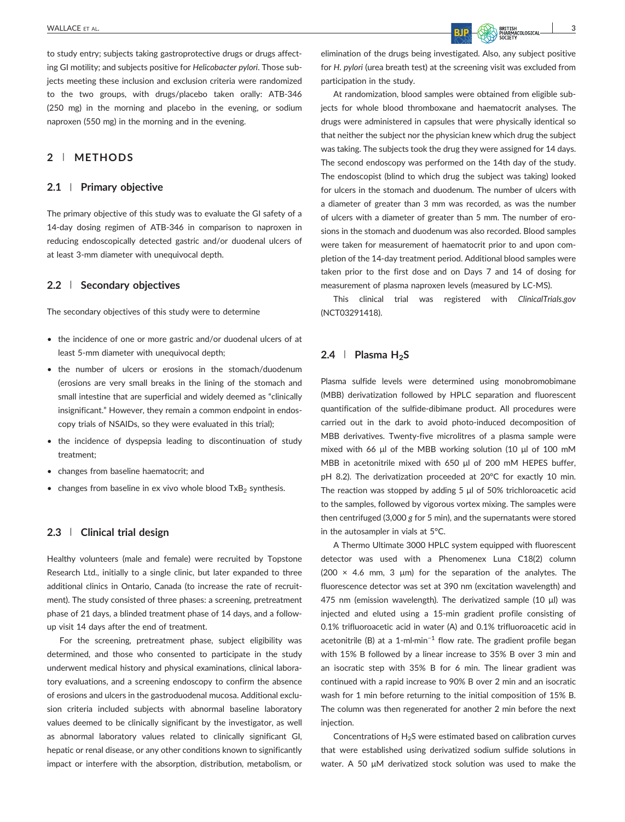to study entry; subjects taking gastroprotective drugs or drugs affecting GI motility; and subjects positive for *Helicobacter pylori*. Those subjects meeting these inclusion and exclusion criteria were randomized to the two groups, with drugs/placebo taken orally: ATB‐346 (250 mg) in the morning and placebo in the evening, or sodium naproxen (550 mg) in the morning and in the evening.

# **2** | **METHODS**

## **2.1** | **Primary objective**

The primary objective of this study was to evaluate the GI safety of a 14‐day dosing regimen of ATB‐346 in comparison to naproxen in reducing endoscopically detected gastric and/or duodenal ulcers of at least 3‐mm diameter with unequivocal depth.

# **2.2** | **Secondary objectives**

The secondary objectives of this study were to determine

- the incidence of one or more gastric and/or duodenal ulcers of at least 5‐mm diameter with unequivocal depth;
- the number of ulcers or erosions in the stomach/duodenum (erosions are very small breaks in the lining of the stomach and small intestine that are superficial and widely deemed as "clinically insignificant." However, they remain a common endpoint in endoscopy trials of NSAIDs, so they were evaluated in this trial);
- the incidence of dyspepsia leading to discontinuation of study treatment;
- changes from baseline haematocrit; and
- changes from baseline in ex vivo whole blood  $TxB<sub>2</sub>$  synthesis.

## **2.3** | **Clinical trial design**

Healthy volunteers (male and female) were recruited by Topstone Research Ltd., initially to a single clinic, but later expanded to three additional clinics in Ontario, Canada (to increase the rate of recruitment). The study consisted of three phases: a screening, pretreatment phase of 21 days, a blinded treatment phase of 14 days, and a follow‐ up visit 14 days after the end of treatment.

For the screening, pretreatment phase, subject eligibility was determined, and those who consented to participate in the study underwent medical history and physical examinations, clinical laboratory evaluations, and a screening endoscopy to confirm the absence of erosions and ulcers in the gastroduodenal mucosa. Additional exclusion criteria included subjects with abnormal baseline laboratory values deemed to be clinically significant by the investigator, as well as abnormal laboratory values related to clinically significant GI, hepatic or renal disease, or any other conditions known to significantly impact or interfere with the absorption, distribution, metabolism, or

elimination of the drugs being investigated. Also, any subject positive for *H. pylori* (urea breath test) at the screening visit was excluded from participation in the study.

At randomization, blood samples were obtained from eligible subjects for whole blood thromboxane and haematocrit analyses. The drugs were administered in capsules that were physically identical so that neither the subject nor the physician knew which drug the subject was taking. The subjects took the drug they were assigned for 14 days. The second endoscopy was performed on the 14th day of the study. The endoscopist (blind to which drug the subject was taking) looked for ulcers in the stomach and duodenum. The number of ulcers with a diameter of greater than 3 mm was recorded, as was the number of ulcers with a diameter of greater than 5 mm. The number of erosions in the stomach and duodenum was also recorded. Blood samples were taken for measurement of haematocrit prior to and upon completion of the 14‐day treatment period. Additional blood samples were taken prior to the first dose and on Days 7 and 14 of dosing for measurement of plasma naproxen levels (measured by LC‐MS).

This clinical trial was registered with *[ClinicalTrials.gov](http://ClinicalTrials.gov)* (NCT03291418).

# **2.4** | **Plasma H<sub>2</sub>S**

Plasma sulfide levels were determined using monobromobimane (MBB) derivatization followed by HPLC separation and fluorescent quantification of the sulfide‐dibimane product. All procedures were carried out in the dark to avoid photo‐induced decomposition of MBB derivatives. Twenty-five microlitres of a plasma sample were mixed with 66 μl of the MBB working solution (10 μl of 100 mM MBB in acetonitrile mixed with 650 μl of 200 mM HEPES buffer, pH 8.2). The derivatization proceeded at 20°C for exactly 10 min. The reaction was stopped by adding 5 μl of 50% trichloroacetic acid to the samples, followed by vigorous vortex mixing. The samples were then centrifuged (3,000 *g* for 5 min), and the supernatants were stored in the autosampler in vials at 5°C.

A Thermo Ultimate 3000 HPLC system equipped with fluorescent detector was used with a Phenomenex Luna C18(2) column (200  $\times$  4.6 mm, 3 µm) for the separation of the analytes. The fluorescence detector was set at 390 nm (excitation wavelength) and 475 nm (emission wavelength). The derivatized sample (10 μl) was injected and eluted using a 15‐min gradient profile consisting of 0.1% trifluoroacetic acid in water (A) and 0.1% trifluoroacetic acid in acetonitrile (B) at a 1-ml⋅min<sup>-1</sup> flow rate. The gradient profile began with 15% B followed by a linear increase to 35% B over 3 min and an isocratic step with 35% B for 6 min. The linear gradient was continued with a rapid increase to 90% B over 2 min and an isocratic wash for 1 min before returning to the initial composition of 15% B. The column was then regenerated for another 2 min before the next injection.

Concentrations of  $H_2S$  were estimated based on calibration curves that were established using derivatized sodium sulfide solutions in water. A 50 μM derivatized stock solution was used to make the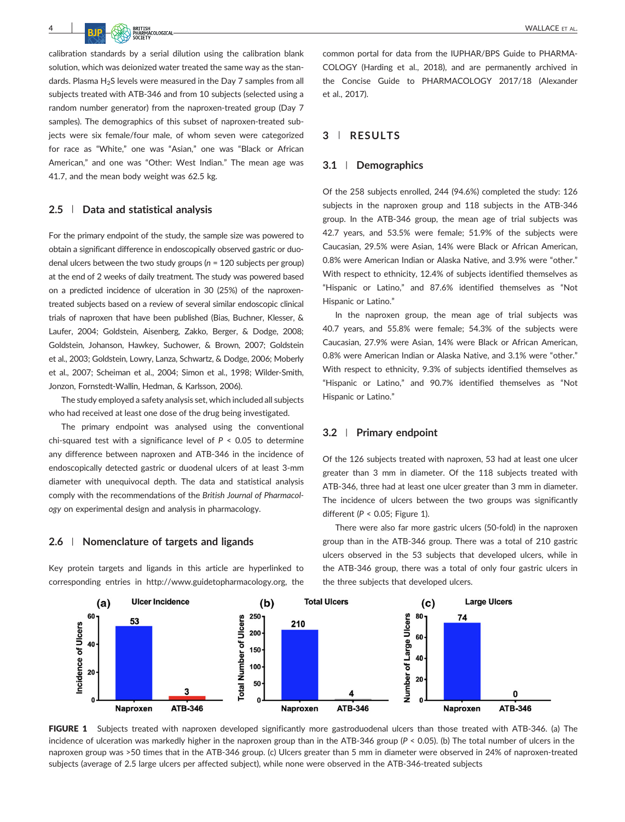calibration standards by a serial dilution using the calibration blank solution, which was deionized water treated the same way as the standards. Plasma  $H_2S$  levels were measured in the Day 7 samples from all subjects treated with ATB‐346 and from 10 subjects (selected using a random number generator) from the naproxen-treated group (Day 7 samples). The demographics of this subset of naproxen-treated subjects were six female/four male, of whom seven were categorized for race as "White," one was "Asian," one was "Black or African American," and one was "Other: West Indian." The mean age was 41.7, and the mean body weight was 62.5 kg.

## **2.5** | **Data and statistical analysis**

For the primary endpoint of the study, the sample size was powered to obtain a significant difference in endoscopically observed gastric or duodenal ulcers between the two study groups (*n* = 120 subjects per group) at the end of 2 weeks of daily treatment. The study was powered based on a predicted incidence of ulceration in 30 (25%) of the naproxen‐ treated subjects based on a review of several similar endoscopic clinical trials of naproxen that have been published (Bias, Buchner, Klesser, & Laufer, 2004; Goldstein, Aisenberg, Zakko, Berger, & Dodge, 2008; Goldstein, Johanson, Hawkey, Suchower, & Brown, 2007; Goldstein et al., 2003; Goldstein, Lowry, Lanza, Schwartz, & Dodge, 2006; Moberly et al., 2007; Scheiman et al., 2004; Simon et al., 1998; Wilder‐Smith, Jonzon, Fornstedt‐Wallin, Hedman, & Karlsson, 2006).

The study employed a safety analysis set, which included all subjects who had received at least one dose of the drug being investigated.

The primary endpoint was analysed using the conventional chi-squared test with a significance level of  $P < 0.05$  to determine any difference between naproxen and ATB‐346 in the incidence of endoscopically detected gastric or duodenal ulcers of at least 3‐mm diameter with unequivocal depth. The data and statistical analysis comply with the recommendations of the *British Journal of Pharmacology* on experimental design and analysis in pharmacology.

#### **2.6** | **Nomenclature of targets and ligands**

Key protein targets and ligands in this article are hyperlinked to corresponding entries in [http://www.guidetopharmacology.org,](http://www.guidetopharmacology.org) the common portal for data from the IUPHAR/BPS Guide to PHARMA-COLOGY (Harding et al., 2018), and are permanently archived in the Concise Guide to PHARMACOLOGY 2017/18 (Alexander et al., 2017).

## **3** | **RESULTS**

#### **3.1** | **Demographics**

Of the 258 subjects enrolled, 244 (94.6%) completed the study: 126 subjects in the naproxen group and 118 subjects in the ATB‐346 group. In the ATB‐346 group, the mean age of trial subjects was 42.7 years, and 53.5% were female; 51.9% of the subjects were Caucasian, 29.5% were Asian, 14% were Black or African American, 0.8% were American Indian or Alaska Native, and 3.9% were "other." With respect to ethnicity, 12.4% of subjects identified themselves as "Hispanic or Latino," and 87.6% identified themselves as "Not Hispanic or Latino."

In the naproxen group, the mean age of trial subjects was 40.7 years, and 55.8% were female; 54.3% of the subjects were Caucasian, 27.9% were Asian, 14% were Black or African American, 0.8% were American Indian or Alaska Native, and 3.1% were "other." With respect to ethnicity, 9.3% of subjects identified themselves as "Hispanic or Latino," and 90.7% identified themselves as "Not Hispanic or Latino."

## **3.2** | **Primary endpoint**

Of the 126 subjects treated with naproxen, 53 had at least one ulcer greater than 3 mm in diameter. Of the 118 subjects treated with ATB‐346, three had at least one ulcer greater than 3 mm in diameter. The incidence of ulcers between the two groups was significantly different (*P* < 0.05; Figure 1).

There were also far more gastric ulcers (50‐fold) in the naproxen group than in the ATB‐346 group. There was a total of 210 gastric ulcers observed in the 53 subjects that developed ulcers, while in the ATB‐346 group, there was a total of only four gastric ulcers in the three subjects that developed ulcers.



FIGURE 1 Subjects treated with naproxen developed significantly more gastroduodenal ulcers than those treated with ATB-346. (a) The incidence of ulceration was markedly higher in the naproxen group than in the ATB‐346 group (*P* < 0.05). (b) The total number of ulcers in the naproxen group was >50 times that in the ATB‐346 group. (c) Ulcers greater than 5 mm in diameter were observed in 24% of naproxen‐treated subjects (average of 2.5 large ulcers per affected subject), while none were observed in the ATB‐346‐treated subjects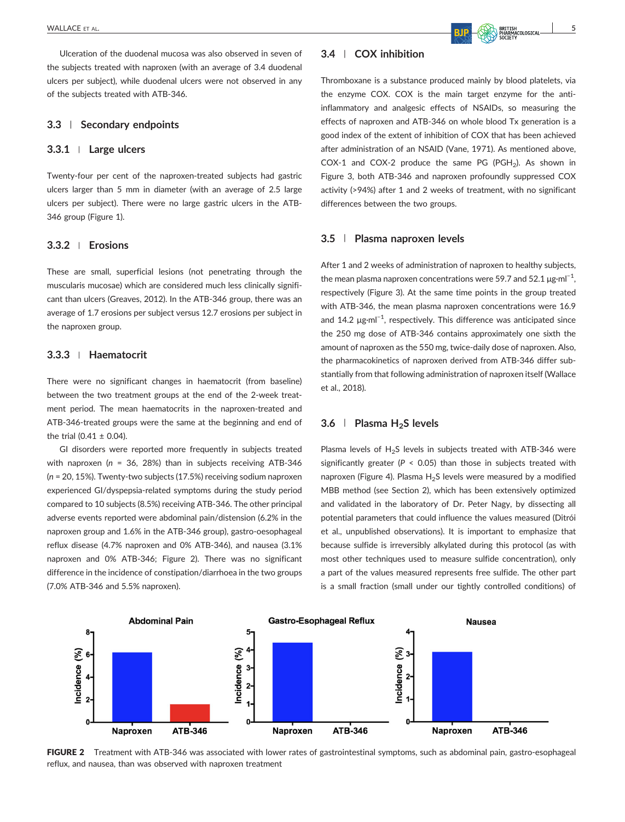Ulceration of the duodenal mucosa was also observed in seven of the subjects treated with naproxen (with an average of 3.4 duodenal ulcers per subject), while duodenal ulcers were not observed in any of the subjects treated with ATB‐346.

## **3.3** | **Secondary endpoints**

#### **3.3.1** <sup>|</sup> **Large ulcers**

Twenty-four per cent of the naproxen-treated subjects had gastric ulcers larger than 5 mm in diameter (with an average of 2.5 large ulcers per subject). There were no large gastric ulcers in the ATB‐ 346 group (Figure 1).

## **3.3.2** <sup>|</sup> **Erosions**

These are small, superficial lesions (not penetrating through the muscularis mucosae) which are considered much less clinically significant than ulcers (Greaves, 2012). In the ATB‐346 group, there was an average of 1.7 erosions per subject versus 12.7 erosions per subject in the naproxen group.

# **3.3.3** <sup>|</sup> **Haematocrit**

There were no significant changes in haematocrit (from baseline) between the two treatment groups at the end of the 2-week treatment period. The mean haematocrits in the naproxen-treated and ATB‐346‐treated groups were the same at the beginning and end of the trial (0.41  $\pm$  0.04).

GI disorders were reported more frequently in subjects treated with naproxen (*n* = 36, 28%) than in subjects receiving ATB‐346 (*n* = 20, 15%). Twenty‐two subjects (17.5%) receiving sodium naproxen experienced GI/dyspepsia‐related symptoms during the study period compared to 10 subjects (8.5%) receiving ATB‐346. The other principal adverse events reported were abdominal pain/distension (6.2% in the naproxen group and 1.6% in the ATB‐346 group), gastro‐oesophageal reflux disease (4.7% naproxen and 0% ATB‐346), and nausea (3.1% naproxen and 0% ATB‐346; Figure 2). There was no significant difference in the incidence of constipation/diarrhoea in the two groups (7.0% ATB‐346 and 5.5% naproxen).

# **3.4** | **COX inhibition**

Thromboxane is a substance produced mainly by blood platelets, via the enzyme COX. COX is the main target enzyme for the antiinflammatory and analgesic effects of NSAIDs, so measuring the effects of naproxen and ATB‐346 on whole blood Tx generation is a good index of the extent of inhibition of COX that has been achieved after administration of an NSAID (Vane, 1971). As mentioned above, COX‐1 and COX‐2 produce the same PG (PGH2). As shown in Figure 3, both ATB‐346 and naproxen profoundly suppressed COX activity (>94%) after 1 and 2 weeks of treatment, with no significant differences between the two groups.

## **3.5** | **Plasma naproxen levels**

After 1 and 2 weeks of administration of naproxen to healthy subjects, the mean plasma naproxen concentrations were 59.7 and 52.1  $\mu$ g·ml<sup>-1</sup>, respectively (Figure 3). At the same time points in the group treated with ATB-346, the mean plasma naproxen concentrations were 16.9 and 14.2 μg⋅ml<sup>-1</sup>, respectively. This difference was anticipated since the 250 mg dose of ATB‐346 contains approximately one sixth the amount of naproxen as the 550 mg, twice‐daily dose of naproxen. Also, the pharmacokinetics of naproxen derived from ATB‐346 differ substantially from that following administration of naproxen itself (Wallace et al., 2018).

# **3.6** | **Plasma H2S levels**

Plasma levels of  $H_2S$  levels in subjects treated with ATB-346 were significantly greater ( $P < 0.05$ ) than those in subjects treated with naproxen (Figure 4). Plasma  $H_2S$  levels were measured by a modified MBB method (see Section 2), which has been extensively optimized and validated in the laboratory of Dr. Peter Nagy, by dissecting all potential parameters that could influence the values measured (Ditrói et al., unpublished observations). It is important to emphasize that because sulfide is irreversibly alkylated during this protocol (as with most other techniques used to measure sulfide concentration), only a part of the values measured represents free sulfide. The other part is a small fraction (small under our tightly controlled conditions) of



FIGURE 2 Treatment with ATB-346 was associated with lower rates of gastrointestinal symptoms, such as abdominal pain, gastro-esophageal reflux, and nausea, than was observed with naproxen treatment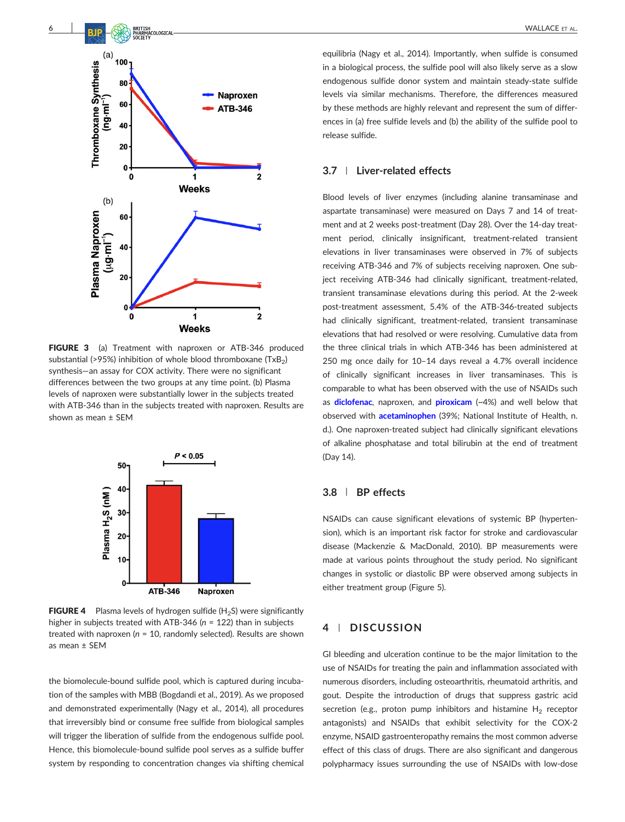

FIGURE 3 (a) Treatment with naproxen or ATB-346 produced substantial (>95%) inhibition of whole blood thromboxane  $(TxB<sub>2</sub>)$ synthesis—an assay for COX activity. There were no significant differences between the two groups at any time point. (b) Plasma levels of naproxen were substantially lower in the subjects treated with ATB‐346 than in the subjects treated with naproxen. Results are shown as mean ± SEM



**FIGURE 4** Plasma levels of hydrogen sulfide  $(H_2S)$  were significantly higher in subjects treated with ATB‐346 (*n* = 122) than in subjects treated with naproxen (*n* = 10, randomly selected). Results are shown as mean ± SEM

the biomolecule‐bound sulfide pool, which is captured during incubation of the samples with MBB (Bogdandi et al., 2019). As we proposed and demonstrated experimentally (Nagy et al., 2014), all procedures that irreversibly bind or consume free sulfide from biological samples will trigger the liberation of sulfide from the endogenous sulfide pool. Hence, this biomolecule‐bound sulfide pool serves as a sulfide buffer system by responding to concentration changes via shifting chemical

equilibria (Nagy et al., 2014). Importantly, when sulfide is consumed in a biological process, the sulfide pool will also likely serve as a slow endogenous sulfide donor system and maintain steady‐state sulfide levels via similar mechanisms. Therefore, the differences measured by these methods are highly relevant and represent the sum of differences in (a) free sulfide levels and (b) the ability of the sulfide pool to release sulfide.

# **3.7** | **Liver‐related effects**

Blood levels of liver enzymes (including alanine transaminase and aspartate transaminase) were measured on Days 7 and 14 of treatment and at 2 weeks post-treatment (Day 28). Over the 14-day treatment period, clinically insignificant, treatment‐related transient elevations in liver transaminases were observed in 7% of subjects receiving ATB‐346 and 7% of subjects receiving naproxen. One subject receiving ATB-346 had clinically significant, treatment-related, transient transaminase elevations during this period. At the 2‐week post-treatment assessment, 5.4% of the ATB-346-treated subjects had clinically significant, treatment-related, transient transaminase elevations that had resolved or were resolving. Cumulative data from the three clinical trials in which ATB‐346 has been administered at 250 mg once daily for 10–14 days reveal a 4.7% overall incidence of clinically significant increases in liver transaminases. This is comparable to what has been observed with the use of NSAIDs such as **[diclofenac](http://www.guidetopharmacology.org/GRAC/LigandDisplayForward?ligandId=2714)**, naproxen, and **[piroxicam](http://www.guidetopharmacology.org/GRAC/LigandDisplayForward?ligandId=7273)** (~4%) and well below that observed with **[acetaminophen](http://www.guidetopharmacology.org/GRAC/LigandDisplayForward?ligandId=5239)** (39%; National Institute of Health, n. d.). One naproxen‐treated subject had clinically significant elevations of alkaline phosphatase and total bilirubin at the end of treatment (Day 14).

## **3.8** | **BP effects**

NSAIDs can cause significant elevations of systemic BP (hypertension), which is an important risk factor for stroke and cardiovascular disease (Mackenzie & MacDonald, 2010). BP measurements were made at various points throughout the study period. No significant changes in systolic or diastolic BP were observed among subjects in either treatment group (Figure 5).

# **4** | **DISCUSSION**

GI bleeding and ulceration continue to be the major limitation to the use of NSAIDs for treating the pain and inflammation associated with numerous disorders, including osteoarthritis, rheumatoid arthritis, and gout. Despite the introduction of drugs that suppress gastric acid secretion (e.g., proton pump inhibitors and histamine  $H_2$  receptor antagonists) and NSAIDs that exhibit selectivity for the COX‐2 enzyme, NSAID gastroenteropathy remains the most common adverse effect of this class of drugs. There are also significant and dangerous polypharmacy issues surrounding the use of NSAIDs with low‐dose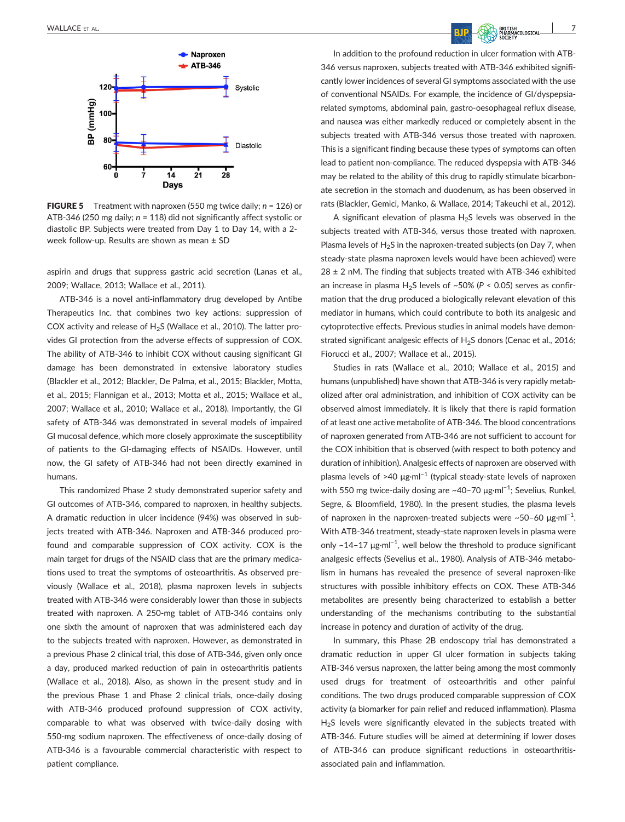

FIGURE 5 Treatment with naproxen (550 mg twice daily; *n* = 126) or ATB‐346 (250 mg daily; *n* = 118) did not significantly affect systolic or diastolic BP. Subjects were treated from Day 1 to Day 14, with a 2‐ week follow‐up. Results are shown as mean ± SD

aspirin and drugs that suppress gastric acid secretion (Lanas et al., 2009; Wallace, 2013; Wallace et al., 2011).

ATB‐346 is a novel anti‐inflammatory drug developed by Antibe Therapeutics Inc. that combines two key actions: suppression of COX activity and release of  $H_2S$  (Wallace et al., 2010). The latter provides GI protection from the adverse effects of suppression of COX. The ability of ATB‐346 to inhibit COX without causing significant GI damage has been demonstrated in extensive laboratory studies (Blackler et al., 2012; Blackler, De Palma, et al., 2015; Blackler, Motta, et al., 2015; Flannigan et al., 2013; Motta et al., 2015; Wallace et al., 2007; Wallace et al., 2010; Wallace et al., 2018). Importantly, the GI safety of ATB-346 was demonstrated in several models of impaired GI mucosal defence, which more closely approximate the susceptibility of patients to the GI-damaging effects of NSAIDs. However, until now, the GI safety of ATB‐346 had not been directly examined in humans.

This randomized Phase 2 study demonstrated superior safety and GI outcomes of ATB‐346, compared to naproxen, in healthy subjects. A dramatic reduction in ulcer incidence (94%) was observed in subjects treated with ATB‐346. Naproxen and ATB‐346 produced profound and comparable suppression of COX activity. COX is the main target for drugs of the NSAID class that are the primary medications used to treat the symptoms of osteoarthritis. As observed previously (Wallace et al., 2018), plasma naproxen levels in subjects treated with ATB‐346 were considerably lower than those in subjects treated with naproxen. A 250‐mg tablet of ATB‐346 contains only one sixth the amount of naproxen that was administered each day to the subjects treated with naproxen. However, as demonstrated in a previous Phase 2 clinical trial, this dose of ATB‐346, given only once a day, produced marked reduction of pain in osteoarthritis patients (Wallace et al., 2018). Also, as shown in the present study and in the previous Phase 1 and Phase 2 clinical trials, once-daily dosing with ATB‐346 produced profound suppression of COX activity, comparable to what was observed with twice‐daily dosing with 550‐mg sodium naproxen. The effectiveness of once‐daily dosing of ATB‐346 is a favourable commercial characteristic with respect to patient compliance.

In addition to the profound reduction in ulcer formation with ATB‐ 346 versus naproxen, subjects treated with ATB‐346 exhibited significantly lower incidences of several GI symptoms associated with the use of conventional NSAIDs. For example, the incidence of GI/dyspepsia‐ related symptoms, abdominal pain, gastro‐oesophageal reflux disease, and nausea was either markedly reduced or completely absent in the subjects treated with ATB‐346 versus those treated with naproxen. This is a significant finding because these types of symptoms can often lead to patient non‐compliance. The reduced dyspepsia with ATB‐346 may be related to the ability of this drug to rapidly stimulate bicarbonate secretion in the stomach and duodenum, as has been observed in rats (Blackler, Gemici, Manko, & Wallace, 2014; Takeuchi et al., 2012).

A significant elevation of plasma  $H_2S$  levels was observed in the subjects treated with ATB‐346, versus those treated with naproxen. Plasma levels of  $H_2S$  in the naproxen-treated subjects (on Day 7, when steady‐state plasma naproxen levels would have been achieved) were  $28 \pm 2$  nM. The finding that subjects treated with ATB-346 exhibited an increase in plasma  $H_2S$  levels of  $\sim$  50% ( $P < 0.05$ ) serves as confirmation that the drug produced a biologically relevant elevation of this mediator in humans, which could contribute to both its analgesic and cytoprotective effects. Previous studies in animal models have demonstrated significant analgesic effects of H<sub>2</sub>S donors (Cenac et al., 2016; Fiorucci et al., 2007; Wallace et al., 2015).

Studies in rats (Wallace et al., 2010; Wallace et al., 2015) and humans (unpublished) have shown that ATB‐346 is very rapidly metabolized after oral administration, and inhibition of COX activity can be observed almost immediately. It is likely that there is rapid formation of at least one active metabolite of ATB‐346. The blood concentrations of naproxen generated from ATB‐346 are not sufficient to account for the COX inhibition that is observed (with respect to both potency and duration of inhibition). Analgesic effects of naproxen are observed with plasma levels of >40 μg·ml−1 (typical steady‐state levels of naproxen with 550 mg twice-daily dosing are ~40-70 μg·ml<sup>-1</sup>; Sevelius, Runkel, Segre, & Bloomfield, 1980). In the present studies, the plasma levels of naproxen in the naproxen-treated subjects were ~50-60  $\mu$ g·ml<sup>-1</sup>. With ATB‐346 treatment, steady‐state naproxen levels in plasma were only ~14-17 μg⋅ml<sup>-1</sup>, well below the threshold to produce significant analgesic effects (Sevelius et al., 1980). Analysis of ATB‐346 metabolism in humans has revealed the presence of several naproxen‐like structures with possible inhibitory effects on COX. These ATB‐346 metabolites are presently being characterized to establish a better understanding of the mechanisms contributing to the substantial increase in potency and duration of activity of the drug.

In summary, this Phase 2B endoscopy trial has demonstrated a dramatic reduction in upper GI ulcer formation in subjects taking ATB‐346 versus naproxen, the latter being among the most commonly used drugs for treatment of osteoarthritis and other painful conditions. The two drugs produced comparable suppression of COX activity (a biomarker for pain relief and reduced inflammation). Plasma H<sub>2</sub>S levels were significantly elevated in the subjects treated with ATB‐346. Future studies will be aimed at determining if lower doses of ATB-346 can produce significant reductions in osteoarthritisassociated pain and inflammation.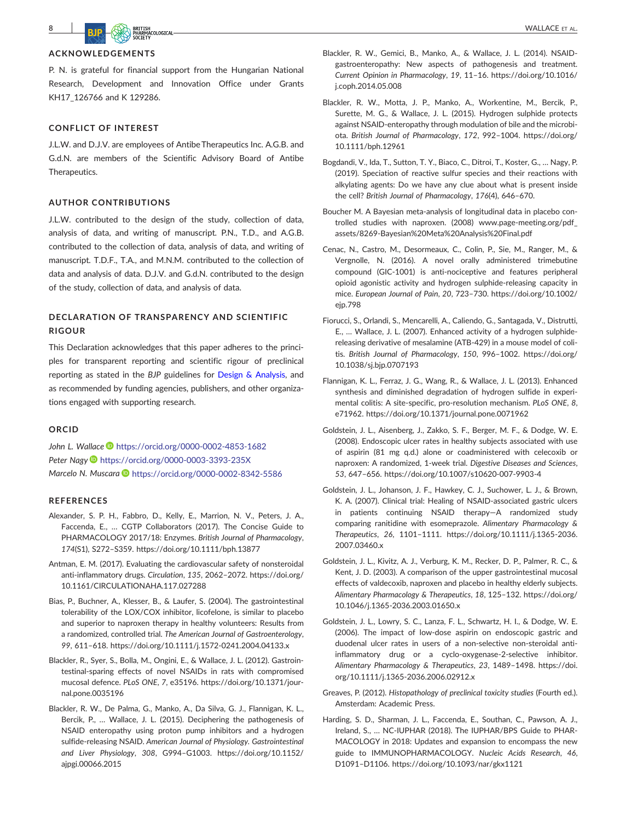**8 B** BJP **BJP WALLACE** ET AL.

## **ACKNOWLEDGEMENTS**

P. N. is grateful for financial support from the Hungarian National Research, Development and Innovation Office under Grants KH17 126766 and K 129286.

## **CONFLICT OF INTEREST**

J.L.W. and D.J.V. are employees of Antibe Therapeutics Inc. A.G.B. and G.d.N. are members of the Scientific Advisory Board of Antibe Therapeutics.

#### **AUTHOR CONTRIBUTIONS**

J.L.W. contributed to the design of the study, collection of data, analysis of data, and writing of manuscript. P.N., T.D., and A.G.B. contributed to the collection of data, analysis of data, and writing of manuscript. T.D.F., T.A., and M.N.M. contributed to the collection of data and analysis of data. D.J.V. and G.d.N. contributed to the design of the study, collection of data, and analysis of data.

# **DECLARATION OF TRANSPARENCY AND SCIENTIFIC RIGOUR**

This Declaration acknowledges that this paper adheres to the principles for transparent reporting and scientific rigour of preclinical reporting as stated in the *BJP* guidelines for [Design & Analysis,](https://bpspubs.onlinelibrary.wiley.com/doi/full/10.1111/bph.14207) and as recommended by funding agencies, publishers, and other organizations engaged with supporting research.

#### **ORCID**

John L. Wallace<sup>1</sup> <https://orcid.org/0000-0002-4853-1682> *Peter Nagy* <https://orcid.org/0000-0003-3393-235X> *Marcelo N. Muscara* **b** <https://orcid.org/0000-0002-8342-5586>

#### **REFERENCES**

- Alexander, S. P. H., Fabbro, D., Kelly, E., Marrion, N. V., Peters, J. A., Faccenda, E., … CGTP Collaborators (2017). The Concise Guide to PHARMACOLOGY 2017/18: Enzymes. *British Journal of Pharmacology*, *174*(S1), S272–S359.<https://doi.org/10.1111/bph.13877>
- Antman, E. M. (2017). Evaluating the cardiovascular safety of nonsteroidal anti‐inflammatory drugs. *Circulation*, *135*, 2062–2072. [https://doi.org/](https://doi.org/10.1161/CIRCULATIONAHA.117.027288) [10.1161/CIRCULATIONAHA.117.027288](https://doi.org/10.1161/CIRCULATIONAHA.117.027288)
- Bias, P., Buchner, A., Klesser, B., & Laufer, S. (2004). The gastrointestinal tolerability of the LOX/COX inhibitor, licofelone, is similar to placebo and superior to naproxen therapy in healthy volunteers: Results from a randomized, controlled trial. *The American Journal of Gastroenterology*, *99*, 611–618. [https://doi.org/10.1111/j.1572](https://doi.org/10.1111/j.1572-0241.2004.04133.x)‐0241.2004.04133.x
- Blackler, R., Syer, S., Bolla, M., Ongini, E., & Wallace, J. L. (2012). Gastrointestinal‐sparing effects of novel NSAIDs in rats with compromised mucosal defence. *PLoS ONE*, *7*, e35196. [https://doi.org/10.1371/jour](https://doi.org/10.1371/journal.pone.0035196)[nal.pone.0035196](https://doi.org/10.1371/journal.pone.0035196)
- Blackler, R. W., De Palma, G., Manko, A., Da Silva, G. J., Flannigan, K. L., Bercik, P., ... Wallace, J. L. (2015). Deciphering the pathogenesis of NSAID enteropathy using proton pump inhibitors and a hydrogen sulfide‐releasing NSAID. *American Journal of Physiology. Gastrointestinal and Liver Physiology*, *308*, G994–G1003. [https://doi.org/10.1152/](https://doi.org/10.1152/ajpgi.00066.2015) [ajpgi.00066.2015](https://doi.org/10.1152/ajpgi.00066.2015)
- Blackler, R. W., Gemici, B., Manko, A., & Wallace, J. L. (2014). NSAID‐ gastroenteropathy: New aspects of pathogenesis and treatment. *Current Opinion in Pharmacology*, *19*, 11–16. [https://doi.org/10.1016/](https://doi.org/10.1016/j.coph.2014.05.008) [j.coph.2014.05.008](https://doi.org/10.1016/j.coph.2014.05.008)
- Blackler, R. W., Motta, J. P., Manko, A., Workentine, M., Bercik, P., Surette, M. G., & Wallace, J. L. (2015). Hydrogen sulphide protects against NSAID‐enteropathy through modulation of bile and the microbiota. *British Journal of Pharmacology*, *172*, 992–1004. [https://doi.org/](https://doi.org/10.1111/bph.12961) [10.1111/bph.12961](https://doi.org/10.1111/bph.12961)
- Bogdandi, V., Ida, T., Sutton, T. Y., Biaco, C., Ditroi, T., Koster, G., … Nagy, P. (2019). Speciation of reactive sulfur species and their reactions with alkylating agents: Do we have any clue about what is present inside the cell? *British Journal of Pharmacology*, *176*(4), 646–670.
- Boucher M. A Bayesian meta‐analysis of longitudinal data in placebo controlled studies with naproxen. (2008) www.page‐[meeting.org/pdf\\_](http://www.page-meeting.org/pdf_assets/8269-Bayesian%20Meta%20Analysis%20Final.pdf) assets/8269‐[Bayesian%20Meta%20Analysis%20Final.pdf](http://www.page-meeting.org/pdf_assets/8269-Bayesian%20Meta%20Analysis%20Final.pdf)
- Cenac, N., Castro, M., Desormeaux, C., Colin, P., Sie, M., Ranger, M., & Vergnolle, N. (2016). A novel orally administered trimebutine compound (GIC‐1001) is anti‐nociceptive and features peripheral opioid agonistic activity and hydrogen sulphide‐releasing capacity in mice. *European Journal of Pain*, *20*, 723–730. [https://doi.org/10.1002/](https://doi.org/10.1002/ejp.798) [ejp.798](https://doi.org/10.1002/ejp.798)
- Fiorucci, S., Orlandi, S., Mencarelli, A., Caliendo, G., Santagada, V., Distrutti, E., … Wallace, J. L. (2007). Enhanced activity of a hydrogen sulphide‐ releasing derivative of mesalamine (ATB‐429) in a mouse model of colitis. *British Journal of Pharmacology*, *150*, 996–1002. [https://doi.org/](https://doi.org/10.1038/sj.bjp.0707193) [10.1038/sj.bjp.0707193](https://doi.org/10.1038/sj.bjp.0707193)
- Flannigan, K. L., Ferraz, J. G., Wang, R., & Wallace, J. L. (2013). Enhanced synthesis and diminished degradation of hydrogen sulfide in experimental colitis: A site‐specific, pro‐resolution mechanism. *PLoS ONE*, *8*, e71962.<https://doi.org/10.1371/journal.pone.0071962>
- Goldstein, J. L., Aisenberg, J., Zakko, S. F., Berger, M. F., & Dodge, W. E. (2008). Endoscopic ulcer rates in healthy subjects associated with use of aspirin (81 mg q.d.) alone or coadministered with celecoxib or naproxen: A randomized, 1‐week trial. *Digestive Diseases and Sciences*, *53*, 647–656. [https://doi.org/10.1007/s10620](https://doi.org/10.1007/s10620-007-9903-4)‐007‐9903‐4
- Goldstein, J. L., Johanson, J. F., Hawkey, C. J., Suchower, L. J., & Brown, K. A. (2007). Clinical trial: Healing of NSAID‐associated gastric ulcers in patients continuing NSAID therapy—A randomized study comparing ranitidine with esomeprazole. *Alimentary Pharmacology & Therapeutics*, *26*, 1101–1111. [https://doi.org/10.1111/j.1365](https://doi.org/10.1111/j.1365-2036.2007.03460.x)‐2036. [2007.03460.x](https://doi.org/10.1111/j.1365-2036.2007.03460.x)
- Goldstein, J. L., Kivitz, A. J., Verburg, K. M., Recker, D. P., Palmer, R. C., & Kent, J. D. (2003). A comparison of the upper gastrointestinal mucosal effects of valdecoxib, naproxen and placebo in healthy elderly subjects. *Alimentary Pharmacology & Therapeutics*, *18*, 125–132. [https://doi.org/](https://doi.org/10.1046/j.1365-2036.2003.01650.x) 10.1046/j.1365‐[2036.2003.01650.x](https://doi.org/10.1046/j.1365-2036.2003.01650.x)
- Goldstein, J. L., Lowry, S. C., Lanza, F. L., Schwartz, H. I., & Dodge, W. E. (2006). The impact of low‐dose aspirin on endoscopic gastric and duodenal ulcer rates in users of a non‐selective non‐steroidal anti‐ inflammatory drug or a cyclo‐oxygenase‐2‐selective inhibitor. *Alimentary Pharmacology & Therapeutics*, *23*, 1489–1498. [https://doi.](https://doi.org/10.1111/j.1365-2036.2006.02912.x) [org/10.1111/j.1365](https://doi.org/10.1111/j.1365-2036.2006.02912.x)‐2036.2006.02912.x
- Greaves, P. (2012). *Histopathology of preclinical toxicity studies* (Fourth ed.). Amsterdam: Academic Press.
- Harding, S. D., Sharman, J. L., Faccenda, E., Southan, C., Pawson, A. J., Ireland, S., … NC‐IUPHAR (2018). The IUPHAR/BPS Guide to PHAR-MACOLOGY in 2018: Updates and expansion to encompass the new guide to IMMUNOPHARMACOLOGY. *Nucleic Acids Research*, *46*, D1091–D1106.<https://doi.org/10.1093/nar/gkx1121>